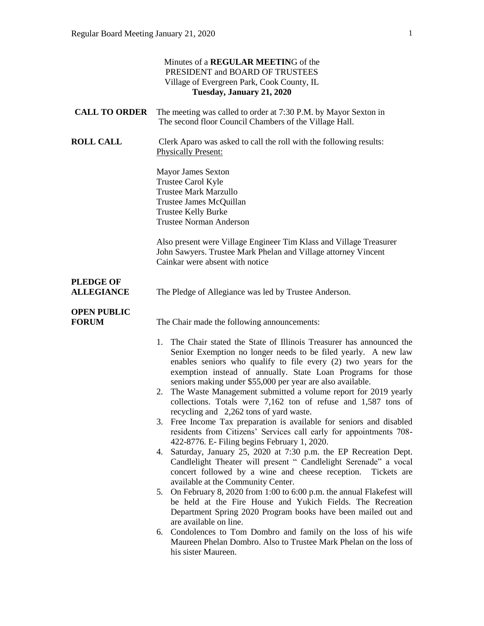|                                       | Minutes of a REGULAR MEETING of the<br>PRESIDENT and BOARD OF TRUSTEES<br>Village of Evergreen Park, Cook County, IL<br>Tuesday, January 21, 2020                                                                                                                                                                                                                                                                                                                                                                                                                                                                                                                                                                                                                                                                                                                                                                                                                                                                                                                                                                                                                                                                                                                                                                                              |
|---------------------------------------|------------------------------------------------------------------------------------------------------------------------------------------------------------------------------------------------------------------------------------------------------------------------------------------------------------------------------------------------------------------------------------------------------------------------------------------------------------------------------------------------------------------------------------------------------------------------------------------------------------------------------------------------------------------------------------------------------------------------------------------------------------------------------------------------------------------------------------------------------------------------------------------------------------------------------------------------------------------------------------------------------------------------------------------------------------------------------------------------------------------------------------------------------------------------------------------------------------------------------------------------------------------------------------------------------------------------------------------------|
| <b>CALL TO ORDER</b>                  | The meeting was called to order at 7:30 P.M. by Mayor Sexton in<br>The second floor Council Chambers of the Village Hall.                                                                                                                                                                                                                                                                                                                                                                                                                                                                                                                                                                                                                                                                                                                                                                                                                                                                                                                                                                                                                                                                                                                                                                                                                      |
| <b>ROLL CALL</b>                      | Clerk Aparo was asked to call the roll with the following results:<br><b>Physically Present:</b>                                                                                                                                                                                                                                                                                                                                                                                                                                                                                                                                                                                                                                                                                                                                                                                                                                                                                                                                                                                                                                                                                                                                                                                                                                               |
|                                       | <b>Mayor James Sexton</b><br>Trustee Carol Kyle<br><b>Trustee Mark Marzullo</b><br>Trustee James McQuillan<br><b>Trustee Kelly Burke</b><br><b>Trustee Norman Anderson</b>                                                                                                                                                                                                                                                                                                                                                                                                                                                                                                                                                                                                                                                                                                                                                                                                                                                                                                                                                                                                                                                                                                                                                                     |
|                                       | Also present were Village Engineer Tim Klass and Village Treasurer<br>John Sawyers. Trustee Mark Phelan and Village attorney Vincent<br>Cainkar were absent with notice                                                                                                                                                                                                                                                                                                                                                                                                                                                                                                                                                                                                                                                                                                                                                                                                                                                                                                                                                                                                                                                                                                                                                                        |
| <b>PLEDGE OF</b><br><b>ALLEGIANCE</b> | The Pledge of Allegiance was led by Trustee Anderson.                                                                                                                                                                                                                                                                                                                                                                                                                                                                                                                                                                                                                                                                                                                                                                                                                                                                                                                                                                                                                                                                                                                                                                                                                                                                                          |
| <b>OPEN PUBLIC</b><br><b>FORUM</b>    | The Chair made the following announcements:<br>The Chair stated the State of Illinois Treasurer has announced the<br>1.<br>Senior Exemption no longer needs to be filed yearly. A new law<br>enables seniors who qualify to file every (2) two years for the<br>exemption instead of annually. State Loan Programs for those<br>seniors making under \$55,000 per year are also available.<br>The Waste Management submitted a volume report for 2019 yearly<br>2.<br>collections. Totals were 7,162 ton of refuse and 1,587 tons of<br>recycling and 2,262 tons of yard waste.<br>3. Free Income Tax preparation is available for seniors and disabled<br>residents from Citizens' Services call early for appointments 708-<br>422-8776. E- Filing begins February 1, 2020.<br>4. Saturday, January 25, 2020 at 7:30 p.m. the EP Recreation Dept.<br>Candlelight Theater will present " Candlelight Serenade" a vocal<br>concert followed by a wine and cheese reception.<br>Tickets are<br>available at the Community Center.<br>On February 8, 2020 from 1:00 to 6:00 p.m. the annual Flakefest will<br>5.<br>be held at the Fire House and Yukich Fields. The Recreation<br>Department Spring 2020 Program books have been mailed out and<br>are available on line.<br>Condolences to Tom Dombro and family on the loss of his wife<br>6. |
|                                       | Maureen Phelan Dombro. Also to Trustee Mark Phelan on the loss of<br>his sister Maureen.                                                                                                                                                                                                                                                                                                                                                                                                                                                                                                                                                                                                                                                                                                                                                                                                                                                                                                                                                                                                                                                                                                                                                                                                                                                       |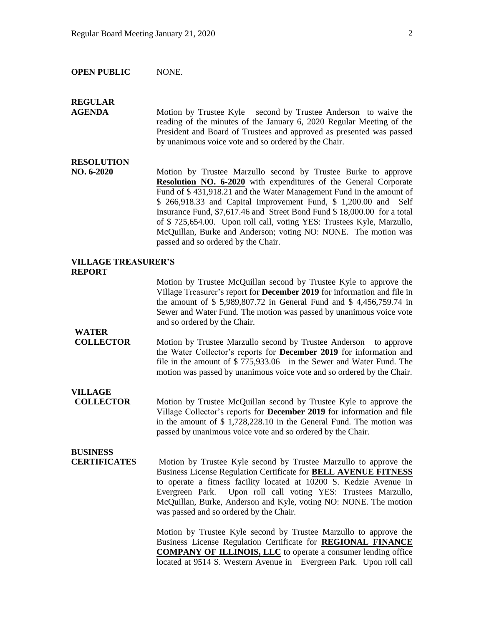#### **OPEN PUBLIC** NONE.

## **REGULAR**

**AGENDA Motion by Trustee Kyle** second by Trustee Anderson to waive the reading of the minutes of the January 6, 2020 Regular Meeting of the President and Board of Trustees and approved as presented was passed by unanimous voice vote and so ordered by the Chair.

#### **RESOLUTION**

**NO. 6-2020** Motion by Trustee Marzullo second by Trustee Burke to approve **Resolution NO. 6-2020** with expenditures of the General Corporate Fund of \$ 431,918.21 and the Water Management Fund in the amount of \$ 266,918.33 and Capital Improvement Fund, \$ 1,200.00 and Self Insurance Fund, \$7,617.46 and Street Bond Fund \$ 18,000.00 for a total of \$ 725,654.00. Upon roll call, voting YES: Trustees Kyle, Marzullo, McQuillan, Burke and Anderson; voting NO: NONE. The motion was passed and so ordered by the Chair.

#### **VILLAGE TREASURER'S REPORT**

Motion by Trustee McQuillan second by Trustee Kyle to approve the Village Treasurer's report for **December 2019** for information and file in the amount of \$ 5,989,807.72 in General Fund and \$ 4,456,759.74 in Sewer and Water Fund. The motion was passed by unanimous voice vote and so ordered by the Chair.

## **WATER**

**COLLECTOR** Motion by Trustee Marzullo second by Trustee Anderson to approve the Water Collector's reports for **December 2019** for information and file in the amount of \$ 775,933.06 in the Sewer and Water Fund. The motion was passed by unanimous voice vote and so ordered by the Chair.

**VILLAGE** 

**COLLECTOR** Motion by Trustee McQuillan second by Trustee Kyle to approve the Village Collector's reports for **December 2019** for information and file in the amount of \$ 1,728,228.10 in the General Fund. The motion was passed by unanimous voice vote and so ordered by the Chair.

# **BUSINESS**

**CERTIFICATES** Motion by Trustee Kyle second by Trustee Marzullo to approve the Business License Regulation Certificate for **BELL AVENUE FITNESS** to operate a fitness facility located at 10200 S. Kedzie Avenue in Evergreen Park. Upon roll call voting YES: Trustees Marzullo, McQuillan, Burke, Anderson and Kyle, voting NO: NONE. The motion was passed and so ordered by the Chair.

> Motion by Trustee Kyle second by Trustee Marzullo to approve the Business License Regulation Certificate for **REGIONAL FINANCE COMPANY OF ILLINOIS, LLC** to operate a consumer lending office located at 9514 S. Western Avenue in Evergreen Park. Upon roll call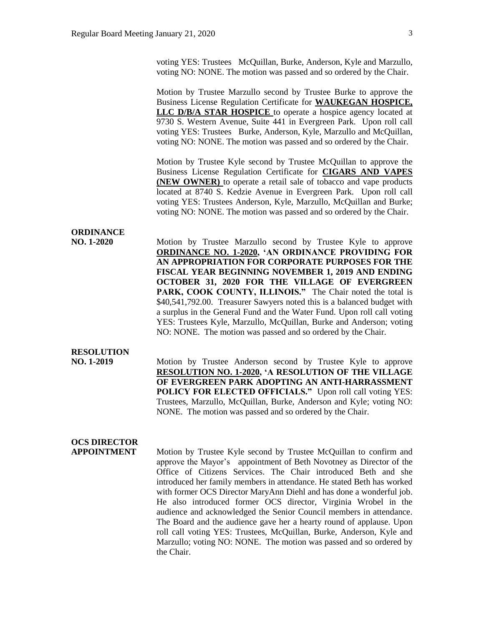voting YES: Trustees McQuillan, Burke, Anderson, Kyle and Marzullo, voting NO: NONE. The motion was passed and so ordered by the Chair.

Motion by Trustee Marzullo second by Trustee Burke to approve the Business License Regulation Certificate for **WAUKEGAN HOSPICE, LLC D/B/A STAR HOSPICE** to operate a hospice agency located at 9730 S. Western Avenue, Suite 441 in Evergreen Park. Upon roll call voting YES: Trustees Burke, Anderson, Kyle, Marzullo and McQuillan, voting NO: NONE. The motion was passed and so ordered by the Chair.

Motion by Trustee Kyle second by Trustee McQuillan to approve the Business License Regulation Certificate for **CIGARS AND VAPES (NEW OWNER)** to operate a retail sale of tobacco and vape products located at 8740 S. Kedzie Avenue in Evergreen Park. Upon roll call voting YES: Trustees Anderson, Kyle, Marzullo, McQuillan and Burke; voting NO: NONE. The motion was passed and so ordered by the Chair.

## **ORDINANCE**

**NO. 1-2020** Motion by Trustee Marzullo second by Trustee Kyle to approve **ORDINANCE NO. 1-2020, 'AN ORDINANCE PROVIDING FOR AN APPROPRIATION FOR CORPORATE PURPOSES FOR THE FISCAL YEAR BEGINNING NOVEMBER 1, 2019 AND ENDING OCTOBER 31, 2020 FOR THE VILLAGE OF EVERGREEN**  PARK, COOK COUNTY, ILLINOIS." The Chair noted the total is \$40,541,792.00. Treasurer Sawyers noted this is a balanced budget with a surplus in the General Fund and the Water Fund. Upon roll call voting YES: Trustees Kyle, Marzullo, McQuillan, Burke and Anderson; voting NO: NONE. The motion was passed and so ordered by the Chair.

## **RESOLUTION**

**NO. 1-2019** Motion by Trustee Anderson second by Trustee Kyle to approve **RESOLUTION NO. 1-2020, 'A RESOLUTION OF THE VILLAGE OF EVERGREEN PARK ADOPTING AN ANTI-HARRASSMENT POLICY FOR ELECTED OFFICIALS."** Upon roll call voting YES: Trustees, Marzullo, McQuillan, Burke, Anderson and Kyle; voting NO: NONE. The motion was passed and so ordered by the Chair.

# **OCS DIRECTOR**

**APPOINTMENT** Motion by Trustee Kyle second by Trustee McQuillan to confirm and approve the Mayor's appointment of Beth Novotney as Director of the Office of Citizens Services. The Chair introduced Beth and she introduced her family members in attendance. He stated Beth has worked with former OCS Director MaryAnn Diehl and has done a wonderful job. He also introduced former OCS director, Virginia Wrobel in the audience and acknowledged the Senior Council members in attendance. The Board and the audience gave her a hearty round of applause. Upon roll call voting YES: Trustees, McQuillan, Burke, Anderson, Kyle and Marzullo; voting NO: NONE. The motion was passed and so ordered by the Chair.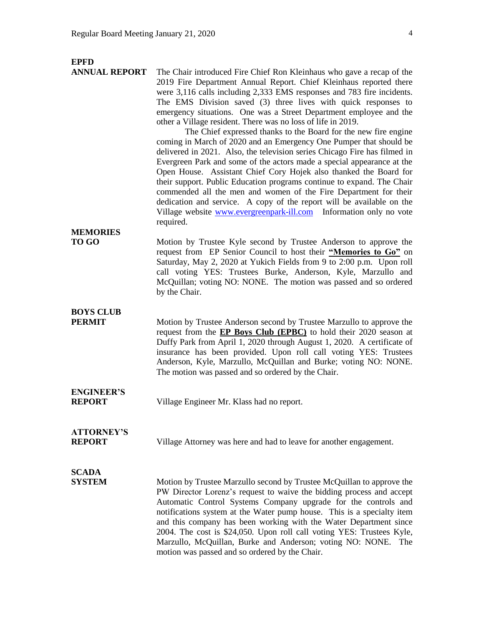| <b>EPFD</b><br><b>ANNUAL REPORT</b> | The Chair introduced Fire Chief Ron Kleinhaus who gave a recap of the<br>2019 Fire Department Annual Report. Chief Kleinhaus reported there<br>were 3,116 calls including 2,333 EMS responses and 783 fire incidents.<br>The EMS Division saved (3) three lives with quick responses to<br>emergency situations. One was a Street Department employee and the<br>other a Village resident. There was no loss of life in 2019.<br>The Chief expressed thanks to the Board for the new fire engine<br>coming in March of 2020 and an Emergency One Pumper that should be<br>delivered in 2021. Also, the television series Chicago Fire has filmed in<br>Evergreen Park and some of the actors made a special appearance at the<br>Open House. Assistant Chief Cory Hojek also thanked the Board for<br>their support. Public Education programs continue to expand. The Chair<br>commended all the men and women of the Fire Department for their<br>dedication and service. A copy of the report will be available on the<br>Village website www.evergreenpark-ill.com Information only no vote<br>required. |
|-------------------------------------|--------------------------------------------------------------------------------------------------------------------------------------------------------------------------------------------------------------------------------------------------------------------------------------------------------------------------------------------------------------------------------------------------------------------------------------------------------------------------------------------------------------------------------------------------------------------------------------------------------------------------------------------------------------------------------------------------------------------------------------------------------------------------------------------------------------------------------------------------------------------------------------------------------------------------------------------------------------------------------------------------------------------------------------------------------------------------------------------------------------|
| <b>MEMORIES</b>                     |                                                                                                                                                                                                                                                                                                                                                                                                                                                                                                                                                                                                                                                                                                                                                                                                                                                                                                                                                                                                                                                                                                              |
| <b>TO GO</b>                        | Motion by Trustee Kyle second by Trustee Anderson to approve the<br>request from EP Senior Council to host their "Memories to Go" on<br>Saturday, May 2, 2020 at Yukich Fields from 9 to 2:00 p.m. Upon roll<br>call voting YES: Trustees Burke, Anderson, Kyle, Marzullo and<br>McQuillan; voting NO: NONE. The motion was passed and so ordered<br>by the Chair.                                                                                                                                                                                                                                                                                                                                                                                                                                                                                                                                                                                                                                                                                                                                           |
| <b>BOYS CLUB</b><br><b>PERMIT</b>   | Motion by Trustee Anderson second by Trustee Marzullo to approve the<br>request from the <b>EP Boys Club</b> ( <b>EPBC</b> ) to hold their 2020 season at<br>Duffy Park from April 1, 2020 through August 1, 2020. A certificate of<br>insurance has been provided. Upon roll call voting YES: Trustees<br>Anderson, Kyle, Marzullo, McQuillan and Burke; voting NO: NONE.<br>The motion was passed and so ordered by the Chair.                                                                                                                                                                                                                                                                                                                                                                                                                                                                                                                                                                                                                                                                             |
| <b>ENGINEER'S</b><br><b>REPORT</b>  | Village Engineer Mr. Klass had no report.                                                                                                                                                                                                                                                                                                                                                                                                                                                                                                                                                                                                                                                                                                                                                                                                                                                                                                                                                                                                                                                                    |
| <b>ATTORNEY'S</b><br><b>REPORT</b>  | Village Attorney was here and had to leave for another engagement.                                                                                                                                                                                                                                                                                                                                                                                                                                                                                                                                                                                                                                                                                                                                                                                                                                                                                                                                                                                                                                           |
| <b>SCADA</b><br><b>SYSTEM</b>       | Motion by Trustee Marzullo second by Trustee McQuillan to approve the<br>PW Director Lorenz's request to waive the bidding process and accept<br>Automatic Control Systems Company upgrade for the controls and<br>notifications system at the Water pump house. This is a specialty item                                                                                                                                                                                                                                                                                                                                                                                                                                                                                                                                                                                                                                                                                                                                                                                                                    |

and this company has been working with the Water Department since 2004. The cost is \$24,050. Upon roll call voting YES: Trustees Kyle, Marzullo, McQuillan, Burke and Anderson; voting NO: NONE. The

motion was passed and so ordered by the Chair.